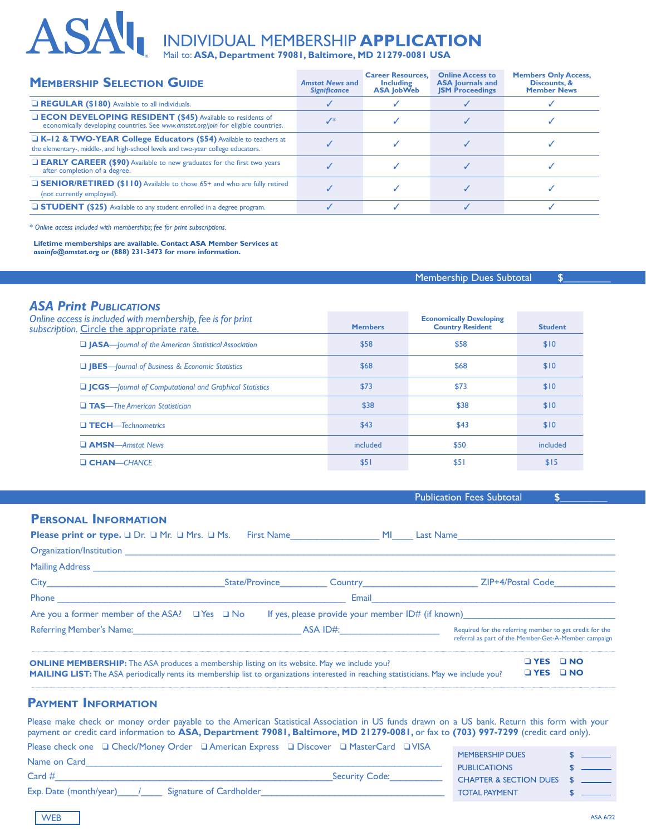# INDIVIDUAL MEMBERSHIP **APPLICATION**

Mail to: **ASA, Department 79081, Baltimore, MD 21279-0081 USA** 

| <b>MEMBERSHIP SELECTION GUIDE</b>                                                                                                                                 | <b>Amstat News and</b><br><b>Significance</b> | <b>Career Resources.</b><br><b>Including</b><br><b>ASA JobWeb</b> | <b>Online Access to</b><br><b>ASA Journals and</b><br><b>JSM Proceedings</b> | <b>Members Only Access,</b><br>Discounts, &<br><b>Member News</b> |
|-------------------------------------------------------------------------------------------------------------------------------------------------------------------|-----------------------------------------------|-------------------------------------------------------------------|------------------------------------------------------------------------------|-------------------------------------------------------------------|
| REGULAR (\$180) Available to all individuals.                                                                                                                     |                                               |                                                                   |                                                                              |                                                                   |
| <b>LECON DEVELOPING RESIDENT (\$45)</b> Available to residents of<br>economically developing countries. See www.amstat.org/join for eligible countries.           | $J^*$                                         |                                                                   |                                                                              |                                                                   |
| <b>LX-12 &amp; TWO-YEAR College Educators (\$54)</b> Available to teachers at<br>the elementary-, middle-, and high-school levels and two-year college educators. |                                               |                                                                   |                                                                              |                                                                   |
| <b>EARLY CAREER (\$90)</b> Available to new graduates for the first two years<br>after completion of a degree.                                                    |                                               |                                                                   |                                                                              |                                                                   |
| <b>GENIOR/RETIRED (\$110)</b> Available to those 65+ and who are fully retired<br>(not currently employed).                                                       |                                               |                                                                   |                                                                              |                                                                   |
| <b>STUDENT</b> (\$25) Available to any student enrolled in a degree program.                                                                                      |                                               |                                                                   |                                                                              |                                                                   |
|                                                                                                                                                                   |                                               |                                                                   |                                                                              |                                                                   |

*\* Online access included with memberships; fee for print subscriptions.*

**ASAI** 

**Lifetime memberships are available. Contact ASA Member Services at** *asainfo@amstat.org* **or (888) 231-3473 for more information.**

|                                                                                              |                | <b>Membership Dues Subtotal</b>                           |                |  |  |
|----------------------------------------------------------------------------------------------|----------------|-----------------------------------------------------------|----------------|--|--|
| <b>ASA Print PUBLICATIONS</b><br>Online access is included with membership, fee is for print | <b>Members</b> | <b>Economically Developing</b><br><b>Country Resident</b> | <b>Student</b> |  |  |
| subscription. Circle the appropriate rate.                                                   | \$58           | \$58                                                      | \$10           |  |  |
| <b>JASA</b> —Journal of the American Statistical Association                                 |                |                                                           |                |  |  |
| <b>Q JBES</b> —Journal of Business & Economic Statistics                                     | \$68           | \$68                                                      | \$10           |  |  |
| □ JCGS---Journal of Computational and Graphical Statistics                                   | \$73           | \$73                                                      | \$10           |  |  |
| $\Box$ TAS—The American Statistician                                                         | \$38           | \$38                                                      | \$10           |  |  |
| $\Box$ TECH—Technometrics                                                                    | \$43           | \$43                                                      | \$10           |  |  |
| <b>AMSN</b> —Amstat News                                                                     | included       | \$50                                                      | included       |  |  |
| <b>CHAN-CHANCE</b>                                                                           | \$51           | \$51                                                      | \$15           |  |  |

|                                                                                                                                                                                                                                                       |                                                           |  | <b>Publication Fees Subtotal</b>                                                                                |
|-------------------------------------------------------------------------------------------------------------------------------------------------------------------------------------------------------------------------------------------------------|-----------------------------------------------------------|--|-----------------------------------------------------------------------------------------------------------------|
| <b>PERSONAL INFORMATION</b>                                                                                                                                                                                                                           |                                                           |  |                                                                                                                 |
| <b>Please print or type.</b> $\Box$ Dr. $\Box$ Mr. $\Box$ Mrs. $\Box$ Ms.                                                                                                                                                                             |                                                           |  |                                                                                                                 |
|                                                                                                                                                                                                                                                       |                                                           |  |                                                                                                                 |
|                                                                                                                                                                                                                                                       |                                                           |  |                                                                                                                 |
|                                                                                                                                                                                                                                                       |                                                           |  |                                                                                                                 |
|                                                                                                                                                                                                                                                       |                                                           |  |                                                                                                                 |
| Are you a former member of the ASA? $\Box$ Yes $\Box$ No                                                                                                                                                                                              |                                                           |  | If yes, please provide your member $ID#$ (if known)                                                             |
|                                                                                                                                                                                                                                                       | Referring Member's Name: Name and South ASA ID#: ASA ID#: |  | Required for the referring member to get credit for the<br>referral as part of the Member-Get-A-Member campaign |
| <b>ONLINE MEMBERSHIP:</b> The ASA produces a membership listing on its website. May we include you?<br><b>MAILING LIST:</b> The ASA periodically rents its membership list to organizations interested in reaching statisticians. May we include you? |                                                           |  | <b>D</b> YES<br><b>DINO</b><br>$\Box$ NO<br><b>D</b> YES                                                        |

### **Payment Information**

Please make check or money order payable to the American Statistical Association in US funds drawn on a US bank. Return this form with your payment or credit card information to **ASA, Department 79081, Baltimore, MD 21279-0081,** or fax to **(703) 997-7299** (credit card only). Please check one q Check/Money Order q American Express q Discover q MasterCard q VISA

| Please check one ⊔ Check/Money Order ⊔American Express ⊔ Discover ⊔ MasterCard ⊔ VISA |                       |                           |  |
|---------------------------------------------------------------------------------------|-----------------------|---------------------------|--|
| Name on Card                                                                          |                       | <b>MEMBERSHIP DUES</b>    |  |
|                                                                                       |                       | <b>PUBLICATIONS</b>       |  |
| $Card \#$                                                                             | <b>Security Code:</b> | CHAPTER & SECTION DUES \$ |  |
| Exp. Date (month/year)<br>Signature of Cardholder                                     |                       | <b>TOTAL PAYMENT</b>      |  |
|                                                                                       |                       |                           |  |